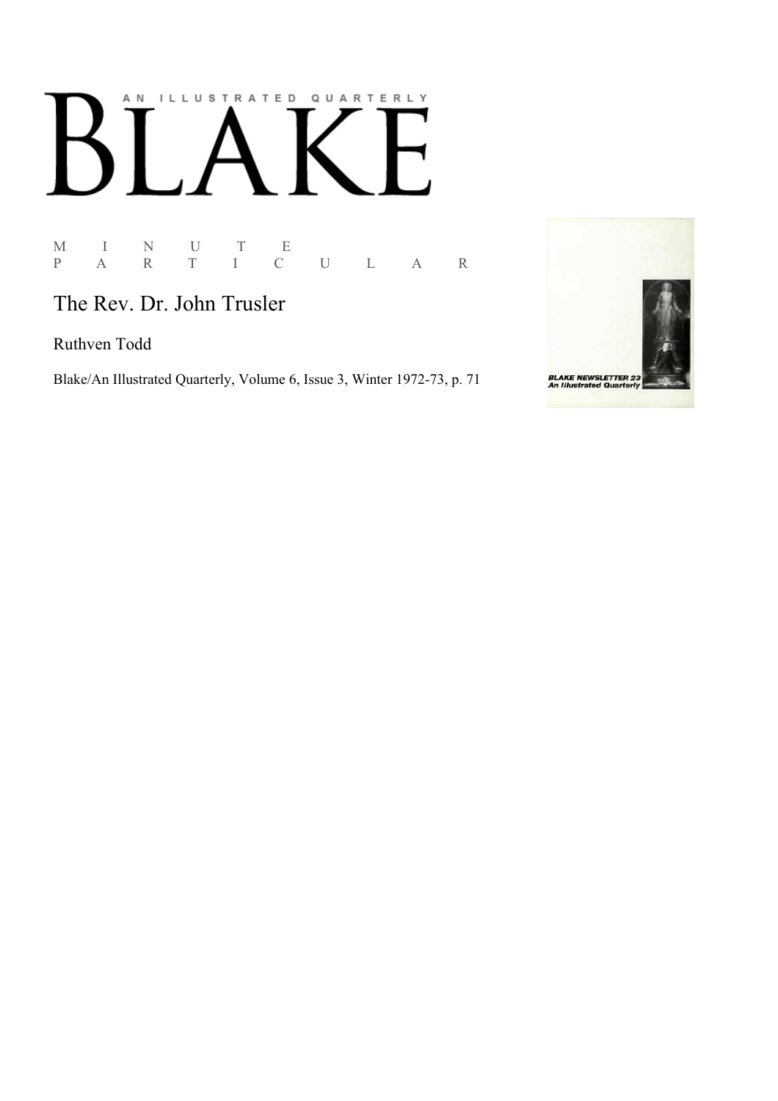# AN ILLUSTRATED QUARTERLY  $\begin{bmatrix} 1 & 1 \\ 1 & 1 \end{bmatrix}$ Ӄ

M I N U T E P A R T I C U L A R

The Rev. Dr. John Trusler

Ruthven Todd

Blake/An Illustrated Quarterly, Volume 6, Issue 3, Winter 1972-73, p. 71